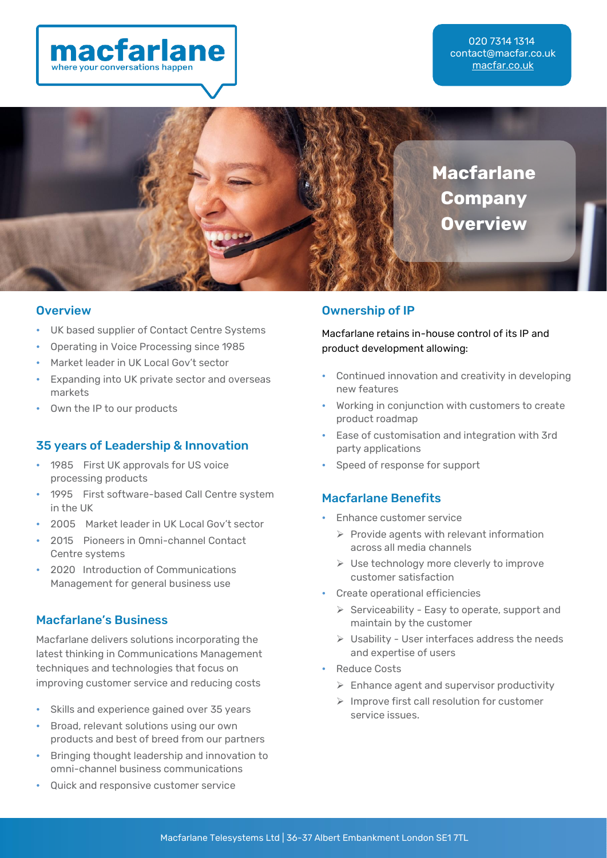

020 7314 1314 [contact@macfar.co.uk](mailto:contact@macfar.co.uk) [macfar.co.uk](https://www.macfar.co.uk/)



#### **Overview**

- **•** UK based supplier of Contact Centre Systems
- **•** Operating in Voice Processing since 1985
- **•** Market leader in UK Local Gov't sector
- **•** Expanding into UK private sector and overseas markets
- **•** Own the IP to our products

### 35 years of Leadership & Innovation

- **•** 1985 First UK approvals for US voice processing products
- **•** 1995 First software-based Call Centre system in the UK
- **•** 2005 Market leader in UK Local Gov't sector
- **•** 2015 Pioneers in Omni-channel Contact Centre systems
- **•** 2020 Introduction of Communications Management for general business use

# Macfarlane's Business

Macfarlane delivers solutions incorporating the latest thinking in Communications Management techniques and technologies that focus on improving customer service and reducing costs

- **•** Skills and experience gained over 35 years
- **•** Broad, relevant solutions using our own products and best of breed from our partners
- **•** Bringing thought leadership and innovation to omni-channel business communications
- **•** Quick and responsive customer service

## Ownership of IP

Macfarlane retains in-house control of its IP and product development allowing:

- **•** Continued innovation and creativity in developing new features
- **•** Working in conjunction with customers to create product roadmap
- **•** Ease of customisation and integration with 3rd party applications
- **•** Speed of response for support

### Macfarlane Benefits

- **•** Enhance customer service
	- $\triangleright$  Provide agents with relevant information across all media channels
	- ➢ Use technology more cleverly to improve customer satisfaction
- **•** Create operational efficiencies
	- ➢ Serviceability Easy to operate, support and maintain by the customer
	- ➢ Usability User interfaces address the needs and expertise of users
- **•** Reduce Costs
	- $\triangleright$  Enhance agent and supervisor productivity
	- ➢ Improve first call resolution for customer service issues.